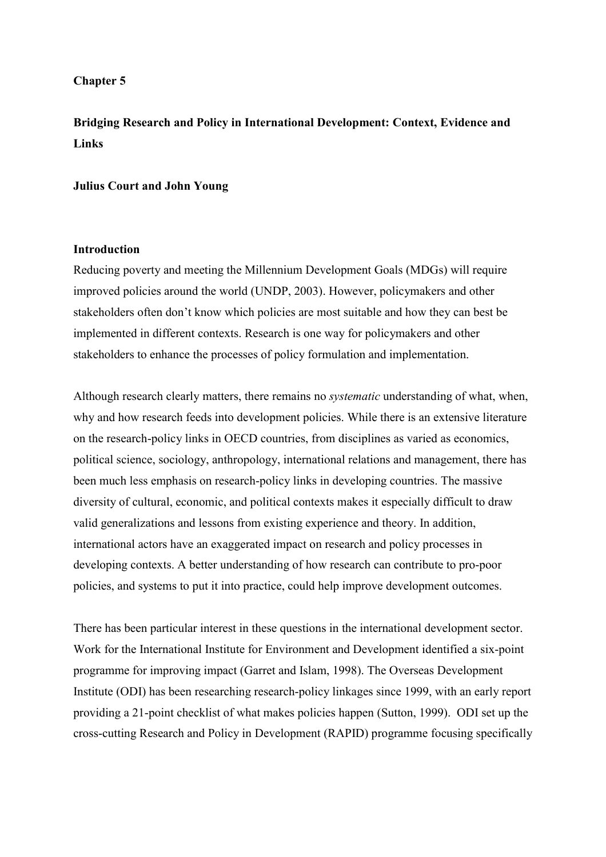## **Chapter 5**

**Bridging Research and Policy in International Development: Context, Evidence and Links** 

#### **Julius Court and John Young**

#### **Introduction**

Reducing poverty and meeting the Millennium Development Goals (MDGs) will require improved policies around the world (UNDP, 2003). However, policymakers and other stakeholders often don't know which policies are most suitable and how they can best be implemented in different contexts. Research is one way for policymakers and other stakeholders to enhance the processes of policy formulation and implementation.

Although research clearly matters, there remains no *systematic* understanding of what, when, why and how research feeds into development policies. While there is an extensive literature on the research-policy links in OECD countries, from disciplines as varied as economics, political science, sociology, anthropology, international relations and management, there has been much less emphasis on research-policy links in developing countries. The massive diversity of cultural, economic, and political contexts makes it especially difficult to draw valid generalizations and lessons from existing experience and theory. In addition, international actors have an exaggerated impact on research and policy processes in developing contexts. A better understanding of how research can contribute to pro-poor policies, and systems to put it into practice, could help improve development outcomes.

There has been particular interest in these questions in the international development sector. Work for the International Institute for Environment and Development identified a six-point programme for improving impact (Garret and Islam, 1998). The Overseas Development Institute (ODI) has been researching research-policy linkages since 1999, with an early report providing a 21-point checklist of what makes policies happen (Sutton, 1999). ODI set up the cross-cutting Research and Policy in Development (RAPID) programme focusing specifically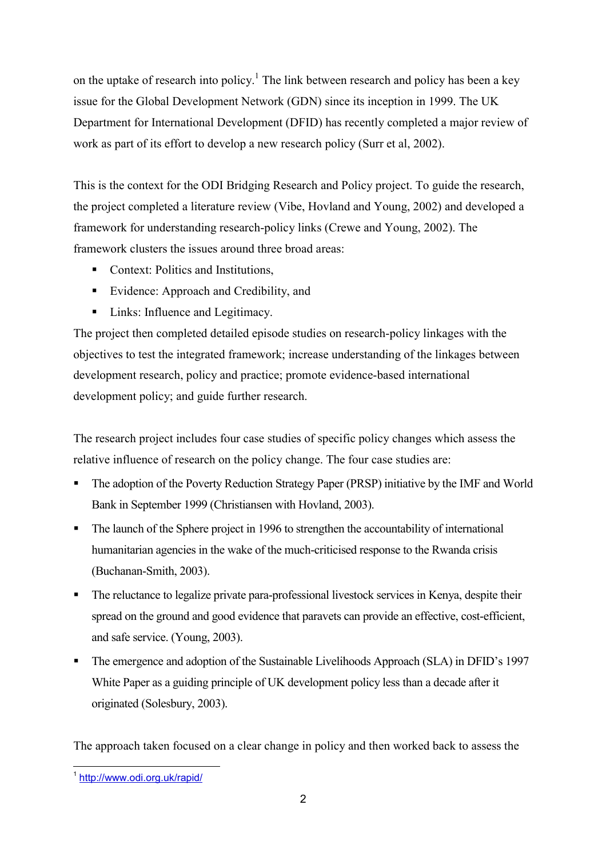on the uptake of research into policy.<sup>1</sup> The link between research and policy has been a key issue for the Global Development Network (GDN) since its inception in 1999. The UK Department for International Development (DFID) has recently completed a major review of work as part of its effort to develop a new research policy (Surr et al, 2002).

This is the context for the ODI Bridging Research and Policy project. To guide the research, the project completed a literature review (Vibe, Hovland and Young, 2002) and developed a framework for understanding research-policy links (Crewe and Young, 2002). The framework clusters the issues around three broad areas:

- Context: Politics and Institutions,
- ! Evidence: Approach and Credibility, and
- Links: Influence and Legitimacy.

The project then completed detailed episode studies on research-policy linkages with the objectives to test the integrated framework; increase understanding of the linkages between development research, policy and practice; promote evidence-based international development policy; and guide further research.

The research project includes four case studies of specific policy changes which assess the relative influence of research on the policy change. The four case studies are:

- ! The adoption of the Poverty Reduction Strategy Paper (PRSP) initiative by the IMF and World Bank in September 1999 (Christiansen with Hovland, 2003).
- ! The launch of the Sphere project in 1996 to strengthen the accountability of international humanitarian agencies in the wake of the much-criticised response to the Rwanda crisis (Buchanan-Smith, 2003).
- ! The reluctance to legalize private para-professional livestock services in Kenya, despite their spread on the ground and good evidence that paravets can provide an effective, cost-efficient, and safe service. (Young, 2003).
- The emergence and adoption of the Sustainable Livelihoods Approach (SLA) in DFID's 1997 White Paper as a guiding principle of UK development policy less than a decade after it originated (Solesbury, 2003).

The approach taken focused on a clear change in policy and then worked back to assess the

 <sup>1</sup> http://www.odi.org.uk/rapid/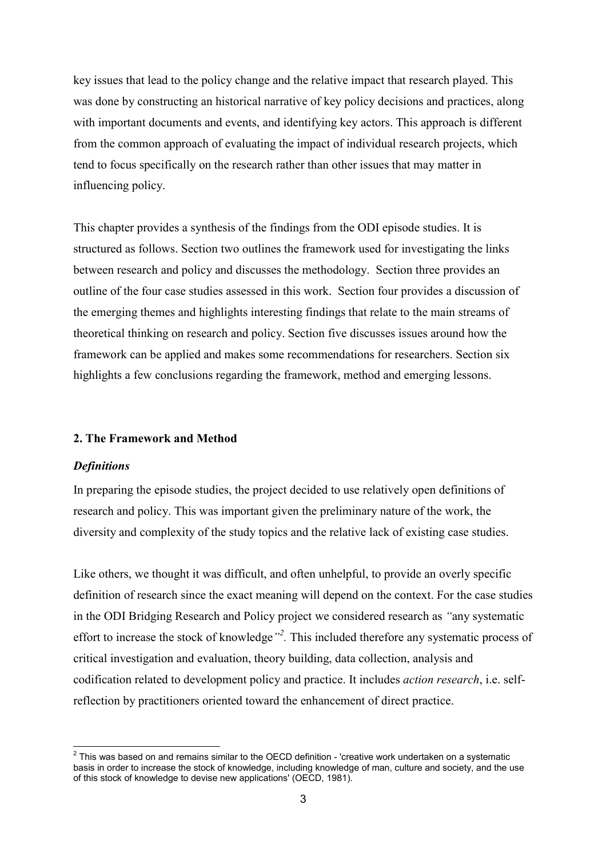key issues that lead to the policy change and the relative impact that research played. This was done by constructing an historical narrative of key policy decisions and practices, along with important documents and events, and identifying key actors. This approach is different from the common approach of evaluating the impact of individual research projects, which tend to focus specifically on the research rather than other issues that may matter in influencing policy.

This chapter provides a synthesis of the findings from the ODI episode studies. It is structured as follows. Section two outlines the framework used for investigating the links between research and policy and discusses the methodology. Section three provides an outline of the four case studies assessed in this work. Section four provides a discussion of the emerging themes and highlights interesting findings that relate to the main streams of theoretical thinking on research and policy. Section five discusses issues around how the framework can be applied and makes some recommendations for researchers. Section six highlights a few conclusions regarding the framework, method and emerging lessons.

## **2. The Framework and Method**

#### *Definitions*

In preparing the episode studies, the project decided to use relatively open definitions of research and policy. This was important given the preliminary nature of the work, the diversity and complexity of the study topics and the relative lack of existing case studies.

Like others, we thought it was difficult, and often unhelpful, to provide an overly specific definition of research since the exact meaning will depend on the context. For the case studies in the ODI Bridging Research and Policy project we considered research as "any systematic effort to increase the stock of knowledge<sup>72</sup>. This included therefore any systematic process of critical investigation and evaluation, theory building, data collection, analysis and codification related to development policy and practice. It includes *action research*, i.e. selfreflection by practitioners oriented toward the enhancement of direct practice.

<sup>&</sup>lt;u>2</u><br><sup>2</sup> This was based on and remains similar to the OECD definition - 'creative work undertaken on a systematic basis in order to increase the stock of knowledge, including knowledge of man, culture and society, and the use of this stock of knowledge to devise new applications' (OECD, 1981).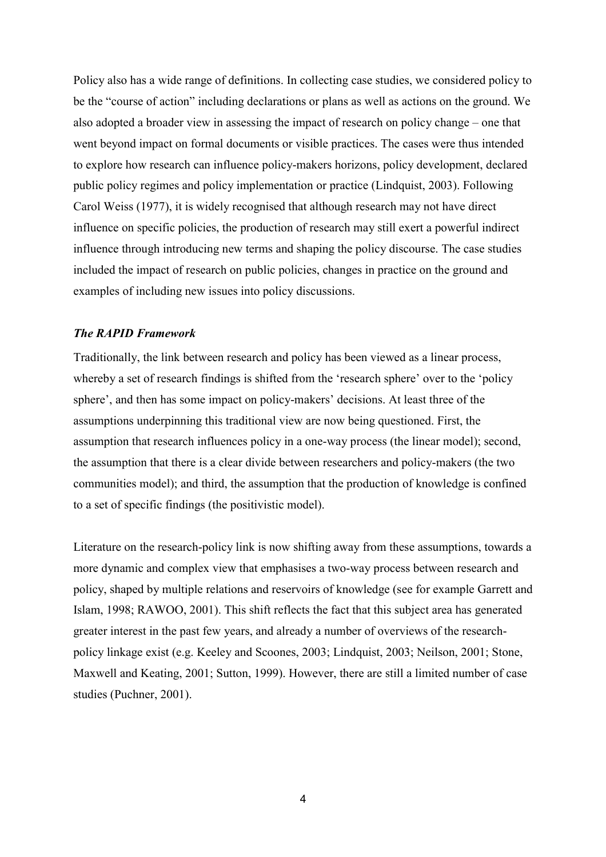Policy also has a wide range of definitions. In collecting case studies, we considered policy to be the "course of action" including declarations or plans as well as actions on the ground. We also adopted a broader view in assessing the impact of research on policy change  $-\text{one}$  that went beyond impact on formal documents or visible practices. The cases were thus intended to explore how research can influence policy-makers horizons, policy development, declared public policy regimes and policy implementation or practice (Lindquist, 2003). Following Carol Weiss (1977), it is widely recognised that although research may not have direct influence on specific policies, the production of research may still exert a powerful indirect influence through introducing new terms and shaping the policy discourse. The case studies included the impact of research on public policies, changes in practice on the ground and examples of including new issues into policy discussions.

## *The RAPID Framework*

Traditionally, the link between research and policy has been viewed as a linear process, whereby a set of research findings is shifted from the 'research sphere' over to the 'policy sphere', and then has some impact on policy-makers' decisions. At least three of the assumptions underpinning this traditional view are now being questioned. First, the assumption that research influences policy in a one-way process (the linear model); second, the assumption that there is a clear divide between researchers and policy-makers (the two communities model); and third, the assumption that the production of knowledge is confined to a set of specific findings (the positivistic model).

Literature on the research-policy link is now shifting away from these assumptions, towards a more dynamic and complex view that emphasises a two-way process between research and policy, shaped by multiple relations and reservoirs of knowledge (see for example Garrett and Islam, 1998; RAWOO, 2001). This shift reflects the fact that this subject area has generated greater interest in the past few years, and already a number of overviews of the researchpolicy linkage exist (e.g. Keeley and Scoones, 2003; Lindquist, 2003; Neilson, 2001; Stone, Maxwell and Keating, 2001; Sutton, 1999). However, there are still a limited number of case studies (Puchner, 2001).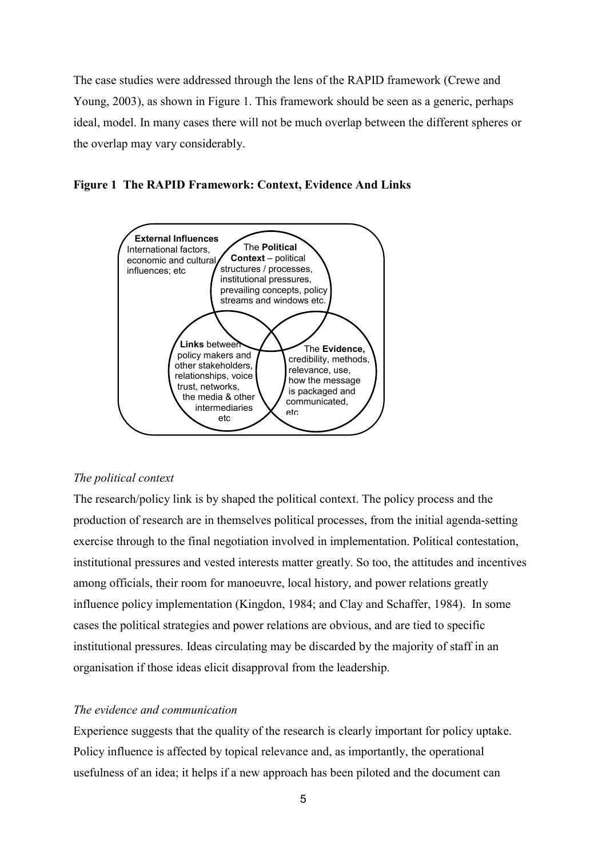The case studies were addressed through the lens of the RAPID framework (Crewe and Young, 2003), as shown in Figure 1. This framework should be seen as a generic, perhaps ideal, model. In many cases there will not be much overlap between the different spheres or the overlap may vary considerably.





#### *The political context*

The research/policy link is by shaped the political context. The policy process and the production of research are in themselves political processes, from the initial agenda-setting exercise through to the final negotiation involved in implementation. Political contestation, institutional pressures and vested interests matter greatly. So too, the attitudes and incentives among officials, their room for manoeuvre, local history, and power relations greatly influence policy implementation (Kingdon, 1984; and Clay and Schaffer, 1984). In some cases the political strategies and power relations are obvious, and are tied to specific institutional pressures. Ideas circulating may be discarded by the majority of staff in an organisation if those ideas elicit disapproval from the leadership.

## *The evidence and communication*

Experience suggests that the quality of the research is clearly important for policy uptake. Policy influence is affected by topical relevance and, as importantly, the operational usefulness of an idea; it helps if a new approach has been piloted and the document can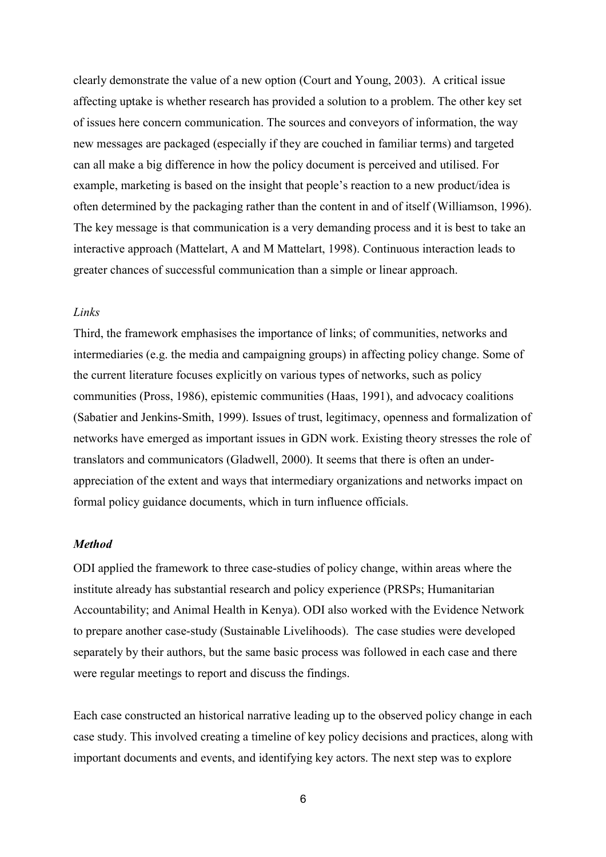clearly demonstrate the value of a new option (Court and Young, 2003). A critical issue affecting uptake is whether research has provided a solution to a problem. The other key set of issues here concern communication. The sources and conveyors of information, the way new messages are packaged (especially if they are couched in familiar terms) and targeted can all make a big difference in how the policy document is perceived and utilised. For example, marketing is based on the insight that people's reaction to a new product/idea is often determined by the packaging rather than the content in and of itself (Williamson, 1996). The key message is that communication is a very demanding process and it is best to take an interactive approach (Mattelart, A and M Mattelart, 1998). Continuous interaction leads to greater chances of successful communication than a simple or linear approach.

## *Links*

Third, the framework emphasises the importance of links; of communities, networks and intermediaries (e.g. the media and campaigning groups) in affecting policy change. Some of the current literature focuses explicitly on various types of networks, such as policy communities (Pross, 1986), epistemic communities (Haas, 1991), and advocacy coalitions (Sabatier and Jenkins-Smith, 1999). Issues of trust, legitimacy, openness and formalization of networks have emerged as important issues in GDN work. Existing theory stresses the role of translators and communicators (Gladwell, 2000). It seems that there is often an underappreciation of the extent and ways that intermediary organizations and networks impact on formal policy guidance documents, which in turn influence officials.

## *Method*

ODI applied the framework to three case-studies of policy change, within areas where the institute already has substantial research and policy experience (PRSPs; Humanitarian Accountability; and Animal Health in Kenya). ODI also worked with the Evidence Network to prepare another case-study (Sustainable Livelihoods). The case studies were developed separately by their authors, but the same basic process was followed in each case and there were regular meetings to report and discuss the findings.

Each case constructed an historical narrative leading up to the observed policy change in each case study. This involved creating a timeline of key policy decisions and practices, along with important documents and events, and identifying key actors. The next step was to explore

 $\sim$  6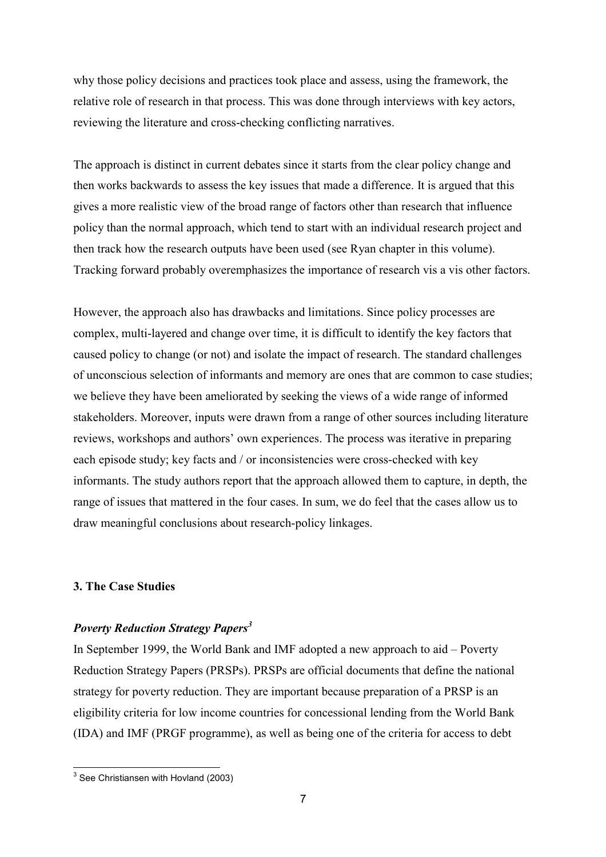why those policy decisions and practices took place and assess, using the framework, the relative role of research in that process. This was done through interviews with key actors, reviewing the literature and cross-checking conflicting narratives.

The approach is distinct in current debates since it starts from the clear policy change and then works backwards to assess the key issues that made a difference. It is argued that this gives a more realistic view of the broad range of factors other than research that influence policy than the normal approach, which tend to start with an individual research project and then track how the research outputs have been used (see Ryan chapter in this volume). Tracking forward probably overemphasizes the importance of research vis a vis other factors.

However, the approach also has drawbacks and limitations. Since policy processes are complex, multi-layered and change over time, it is difficult to identify the key factors that caused policy to change (or not) and isolate the impact of research. The standard challenges of unconscious selection of informants and memory are ones that are common to case studies; we believe they have been ameliorated by seeking the views of a wide range of informed stakeholders. Moreover, inputs were drawn from a range of other sources including literature reviews, workshops and authors' own experiences. The process was iterative in preparing each episode study; key facts and / or inconsistencies were cross-checked with key informants. The study authors report that the approach allowed them to capture, in depth, the range of issues that mattered in the four cases. In sum, we do feel that the cases allow us to draw meaningful conclusions about research-policy linkages.

## **3. The Case Studies**

# *Poverty Reduction Strategy Papers<sup>3</sup>*

In September 1999, the World Bank and IMF adopted a new approach to aid  $-$  Poverty Reduction Strategy Papers (PRSPs). PRSPs are official documents that define the national strategy for poverty reduction. They are important because preparation of a PRSP is an eligibility criteria for low income countries for concessional lending from the World Bank (IDA) and IMF (PRGF programme), as well as being one of the criteria for access to debt

<sup>&</sup>lt;u>and the controlled of the set of the set of the set of the set of the set of the set of the set of the set of the set of the set of the set of the set of the set of the set of the set of the set of the set of the set of t</u>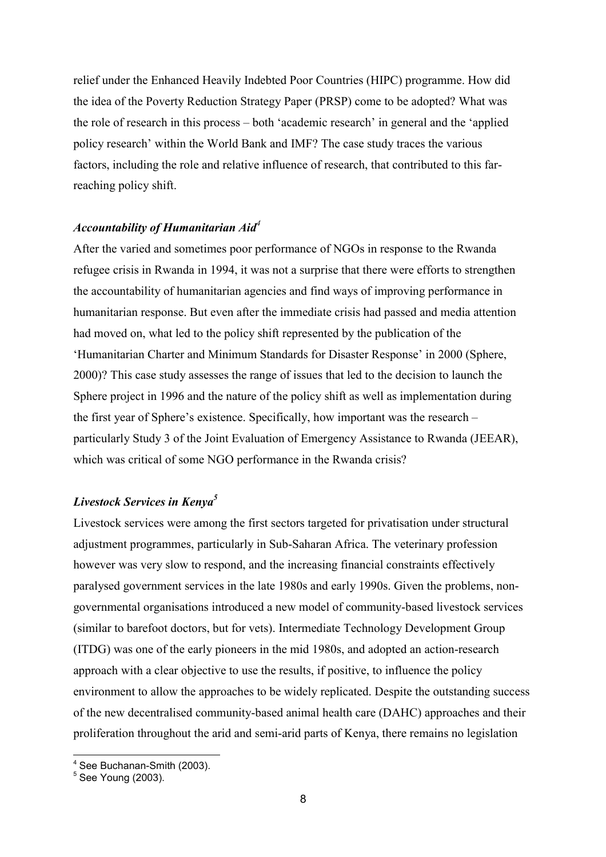relief under the Enhanced Heavily Indebted Poor Countries (HIPC) programme. How did the idea of the Poverty Reduction Strategy Paper (PRSP) come to be adopted? What was the role of research in this process  $-\text{both}$  'academic research' in general and the 'applied policy research' within the World Bank and IMF? The case study traces the various factors, including the role and relative influence of research, that contributed to this farreaching policy shift.

## *Accountability of Humanitarian Aid<sup>4</sup>*

After the varied and sometimes poor performance of NGOs in response to the Rwanda refugee crisis in Rwanda in 1994, it was not a surprise that there were efforts to strengthen the accountability of humanitarian agencies and find ways of improving performance in humanitarian response. But even after the immediate crisis had passed and media attention had moved on, what led to the policy shift represented by the publication of the ëHumanitarian Charter and Minimum Standards for Disaster Responseí in 2000 (Sphere, 2000)? This case study assesses the range of issues that led to the decision to launch the Sphere project in 1996 and the nature of the policy shift as well as implementation during the first year of Sphere's existence. Specifically, how important was the research  $$ particularly Study 3 of the Joint Evaluation of Emergency Assistance to Rwanda (JEEAR), which was critical of some NGO performance in the Rwanda crisis?

## *Livestock Services in Kenya5*

Livestock services were among the first sectors targeted for privatisation under structural adjustment programmes, particularly in Sub-Saharan Africa. The veterinary profession however was very slow to respond, and the increasing financial constraints effectively paralysed government services in the late 1980s and early 1990s. Given the problems, nongovernmental organisations introduced a new model of community-based livestock services (similar to barefoot doctors, but for vets). Intermediate Technology Development Group (ITDG) was one of the early pioneers in the mid 1980s, and adopted an action-research approach with a clear objective to use the results, if positive, to influence the policy environment to allow the approaches to be widely replicated. Despite the outstanding success of the new decentralised community-based animal health care (DAHC) approaches and their proliferation throughout the arid and semi-arid parts of Kenya, there remains no legislation

<sup>&</sup>lt;sup>4</sup> See Buchanan-Smith (2003).

<sup>&</sup>lt;sup>5</sup> See Young (2003).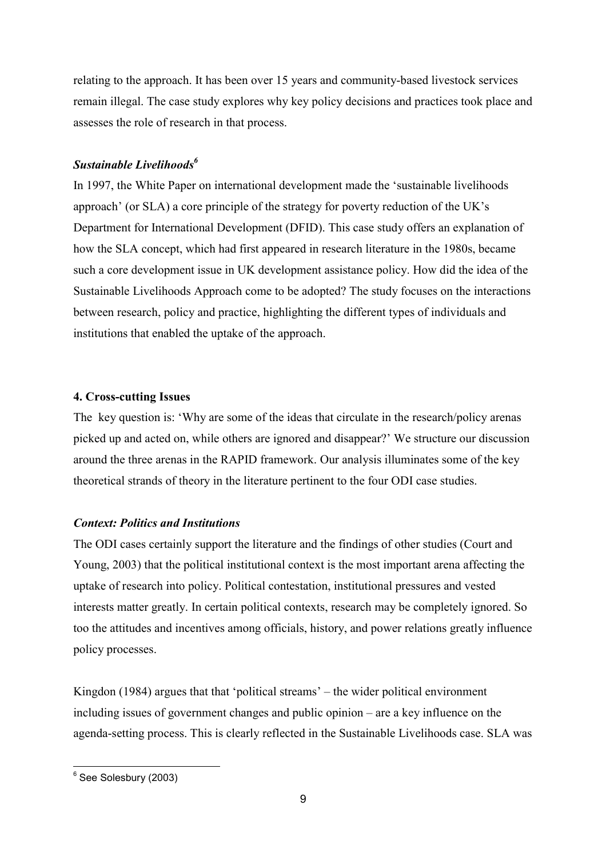relating to the approach. It has been over 15 years and community-based livestock services remain illegal. The case study explores why key policy decisions and practices took place and assesses the role of research in that process.

# *Sustainable Livelihoods6*

In 1997, the White Paper on international development made the 'sustainable livelihoods approach<sup> $\cdot$ </sup> (or SLA) a core principle of the strategy for poverty reduction of the UK $\cdot$ s Department for International Development (DFID). This case study offers an explanation of how the SLA concept, which had first appeared in research literature in the 1980s, became such a core development issue in UK development assistance policy. How did the idea of the Sustainable Livelihoods Approach come to be adopted? The study focuses on the interactions between research, policy and practice, highlighting the different types of individuals and institutions that enabled the uptake of the approach.

## **4. Cross-cutting Issues**

The key question is: 'Why are some of the ideas that circulate in the research/policy arenas picked up and acted on, while others are ignored and disappear? We structure our discussion around the three arenas in the RAPID framework. Our analysis illuminates some of the key theoretical strands of theory in the literature pertinent to the four ODI case studies.

# *Context: Politics and Institutions*

The ODI cases certainly support the literature and the findings of other studies (Court and Young, 2003) that the political institutional context is the most important arena affecting the uptake of research into policy. Political contestation, institutional pressures and vested interests matter greatly. In certain political contexts, research may be completely ignored. So too the attitudes and incentives among officials, history, and power relations greatly influence policy processes.

Kingdon (1984) argues that that 'political streams'  $-$  the wider political environment including issues of government changes and public opinion  $-$  are a key influence on the agenda-setting process. This is clearly reflected in the Sustainable Livelihoods case. SLA was

<sup>&</sup>lt;sup>6</sup> See Solesbury (2003)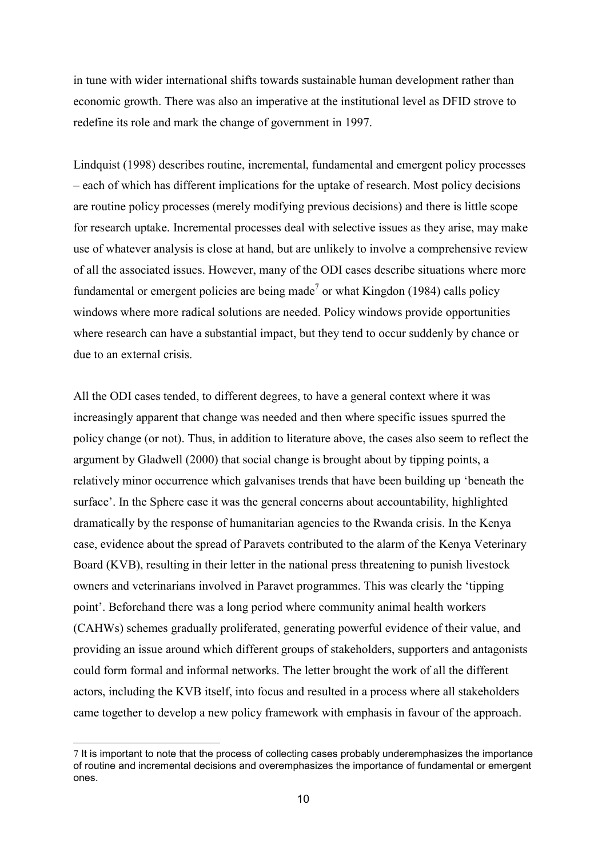in tune with wider international shifts towards sustainable human development rather than economic growth. There was also an imperative at the institutional level as DFID strove to redefine its role and mark the change of government in 1997.

Lindquist (1998) describes routine, incremental, fundamental and emergent policy processes – each of which has different implications for the uptake of research. Most policy decisions are routine policy processes (merely modifying previous decisions) and there is little scope for research uptake. Incremental processes deal with selective issues as they arise, may make use of whatever analysis is close at hand, but are unlikely to involve a comprehensive review of all the associated issues. However, many of the ODI cases describe situations where more fundamental or emergent policies are being made<sup>7</sup> or what Kingdon (1984) calls policy windows where more radical solutions are needed. Policy windows provide opportunities where research can have a substantial impact, but they tend to occur suddenly by chance or due to an external crisis.

All the ODI cases tended, to different degrees, to have a general context where it was increasingly apparent that change was needed and then where specific issues spurred the policy change (or not). Thus, in addition to literature above, the cases also seem to reflect the argument by Gladwell (2000) that social change is brought about by tipping points, a relatively minor occurrence which galvanises trends that have been building up 'beneath the surface'. In the Sphere case it was the general concerns about accountability, highlighted dramatically by the response of humanitarian agencies to the Rwanda crisis. In the Kenya case, evidence about the spread of Paravets contributed to the alarm of the Kenya Veterinary Board (KVB), resulting in their letter in the national press threatening to punish livestock owners and veterinarians involved in Paravet programmes. This was clearly the 'tipping point'. Beforehand there was a long period where community animal health workers (CAHWs) schemes gradually proliferated, generating powerful evidence of their value, and providing an issue around which different groups of stakeholders, supporters and antagonists could form formal and informal networks. The letter brought the work of all the different actors, including the KVB itself, into focus and resulted in a process where all stakeholders came together to develop a new policy framework with emphasis in favour of the approach.

 $\overline{a}$ 

<sup>7</sup> It is important to note that the process of collecting cases probably underemphasizes the importance of routine and incremental decisions and overemphasizes the importance of fundamental or emergent ones.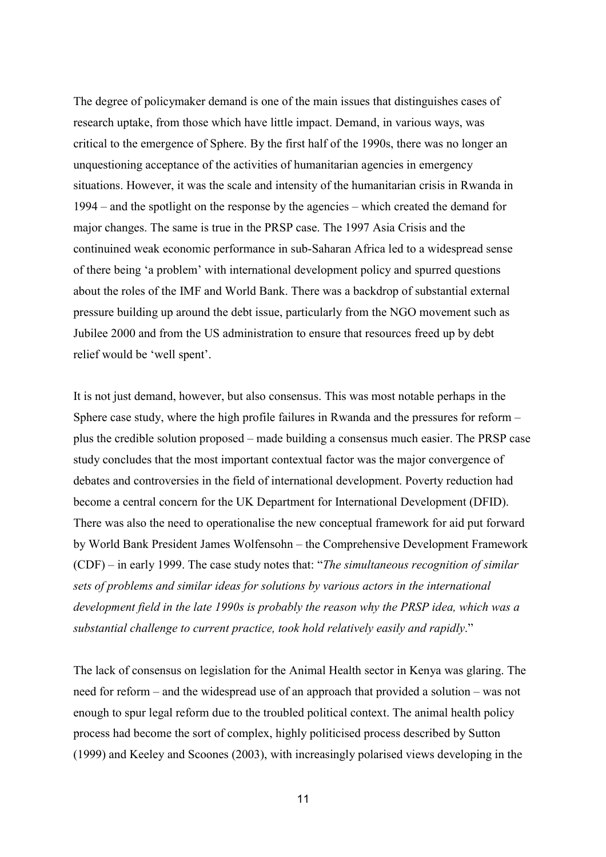The degree of policymaker demand is one of the main issues that distinguishes cases of research uptake, from those which have little impact. Demand, in various ways, was critical to the emergence of Sphere. By the first half of the 1990s, there was no longer an unquestioning acceptance of the activities of humanitarian agencies in emergency situations. However, it was the scale and intensity of the humanitarian crisis in Rwanda in  $1994$  – and the spotlight on the response by the agencies – which created the demand for major changes. The same is true in the PRSP case. The 1997 Asia Crisis and the continuined weak economic performance in sub-Saharan Africa led to a widespread sense of there being 'a problem' with international development policy and spurred questions about the roles of the IMF and World Bank. There was a backdrop of substantial external pressure building up around the debt issue, particularly from the NGO movement such as Jubilee 2000 and from the US administration to ensure that resources freed up by debt relief would be 'well spent'.

It is not just demand, however, but also consensus. This was most notable perhaps in the Sphere case study, where the high profile failures in Rwanda and the pressures for reform  $$ plus the credible solution proposed – made building a consensus much easier. The PRSP case study concludes that the most important contextual factor was the major convergence of debates and controversies in the field of international development. Poverty reduction had become a central concern for the UK Department for International Development (DFID). There was also the need to operationalise the new conceptual framework for aid put forward by World Bank President James Wolfensohn – the Comprehensive Development Framework (CDF) – in early 1999. The case study notes that: *"The simultaneous recognition of similar sets of problems and similar ideas for solutions by various actors in the international development field in the late 1990s is probably the reason why the PRSP idea, which was a*  substantial challenge to current practice, took hold relatively easily and rapidly."

The lack of consensus on legislation for the Animal Health sector in Kenya was glaring. The need for reform  $-$  and the widespread use of an approach that provided a solution  $-$  was not enough to spur legal reform due to the troubled political context. The animal health policy process had become the sort of complex, highly politicised process described by Sutton (1999) and Keeley and Scoones (2003), with increasingly polarised views developing in the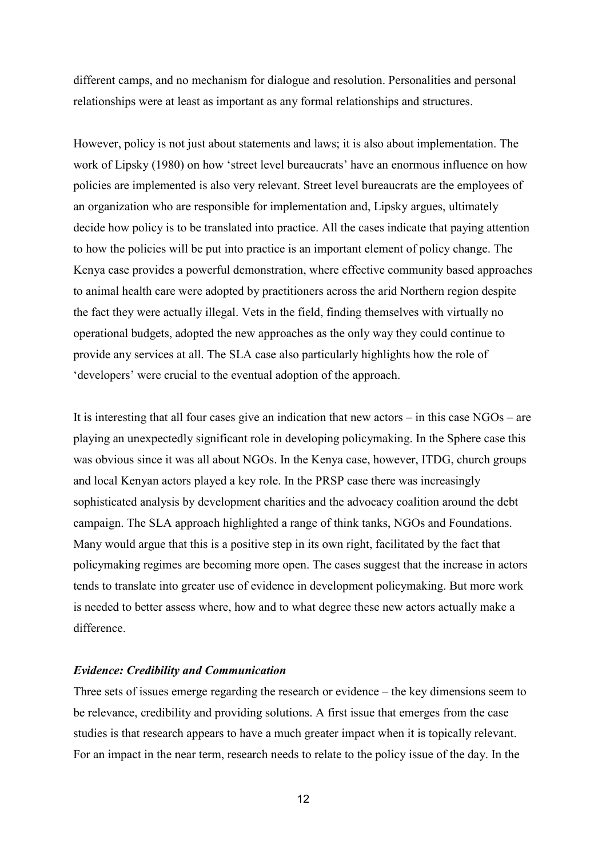different camps, and no mechanism for dialogue and resolution. Personalities and personal relationships were at least as important as any formal relationships and structures.

However, policy is not just about statements and laws; it is also about implementation. The work of Lipsky (1980) on how 'street level bureaucrats' have an enormous influence on how policies are implemented is also very relevant. Street level bureaucrats are the employees of an organization who are responsible for implementation and, Lipsky argues, ultimately decide how policy is to be translated into practice. All the cases indicate that paying attention to how the policies will be put into practice is an important element of policy change. The Kenya case provides a powerful demonstration, where effective community based approaches to animal health care were adopted by practitioners across the arid Northern region despite the fact they were actually illegal. Vets in the field, finding themselves with virtually no operational budgets, adopted the new approaches as the only way they could continue to provide any services at all. The SLA case also particularly highlights how the role of 'developers' were crucial to the eventual adoption of the approach.

It is interesting that all four cases give an indication that new actors  $-$  in this case NGOs  $-$  are playing an unexpectedly significant role in developing policymaking. In the Sphere case this was obvious since it was all about NGOs. In the Kenya case, however, ITDG, church groups and local Kenyan actors played a key role. In the PRSP case there was increasingly sophisticated analysis by development charities and the advocacy coalition around the debt campaign. The SLA approach highlighted a range of think tanks, NGOs and Foundations. Many would argue that this is a positive step in its own right, facilitated by the fact that policymaking regimes are becoming more open. The cases suggest that the increase in actors tends to translate into greater use of evidence in development policymaking. But more work is needed to better assess where, how and to what degree these new actors actually make a difference.

## *Evidence: Credibility and Communication*

Three sets of issues emerge regarding the research or evidence  $-$  the key dimensions seem to be relevance, credibility and providing solutions. A first issue that emerges from the case studies is that research appears to have a much greater impact when it is topically relevant. For an impact in the near term, research needs to relate to the policy issue of the day. In the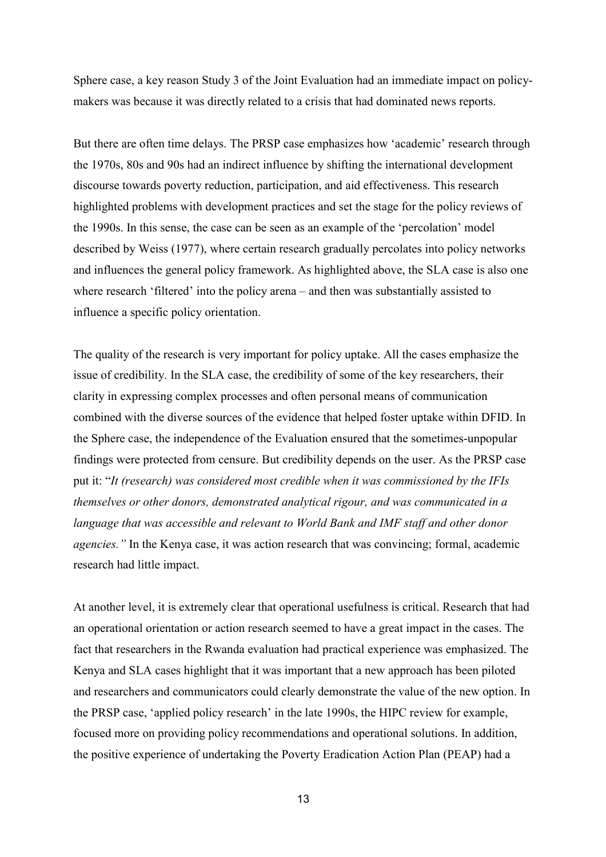Sphere case, a key reason Study 3 of the Joint Evaluation had an immediate impact on policymakers was because it was directly related to a crisis that had dominated news reports.

But there are often time delays. The PRSP case emphasizes how 'academic' research through the 1970s, 80s and 90s had an indirect influence by shifting the international development discourse towards poverty reduction, participation, and aid effectiveness. This research highlighted problems with development practices and set the stage for the policy reviews of the 1990s. In this sense, the case can be seen as an example of the 'percolation' model described by Weiss (1977), where certain research gradually percolates into policy networks and influences the general policy framework. As highlighted above, the SLA case is also one where research 'filtered' into the policy arena – and then was substantially assisted to influence a specific policy orientation.

The quality of the research is very important for policy uptake. All the cases emphasize the issue of credibility. In the SLA case, the credibility of some of the key researchers, their clarity in expressing complex processes and often personal means of communication combined with the diverse sources of the evidence that helped foster uptake within DFID. In the Sphere case, the independence of the Evaluation ensured that the sometimes-unpopular findings were protected from censure. But credibility depends on the user. As the PRSP case put it: "It (research) was considered most credible when it was commissioned by the IFIs *themselves or other donors, demonstrated analytical rigour, and was communicated in a language that was accessible and relevant to World Bank and IMF staff and other donor agencies.*" In the Kenya case, it was action research that was convincing; formal, academic research had little impact.

At another level, it is extremely clear that operational usefulness is critical. Research that had an operational orientation or action research seemed to have a great impact in the cases. The fact that researchers in the Rwanda evaluation had practical experience was emphasized. The Kenya and SLA cases highlight that it was important that a new approach has been piloted and researchers and communicators could clearly demonstrate the value of the new option. In the PRSP case, 'applied policy research' in the late 1990s, the HIPC review for example, focused more on providing policy recommendations and operational solutions. In addition, the positive experience of undertaking the Poverty Eradication Action Plan (PEAP) had a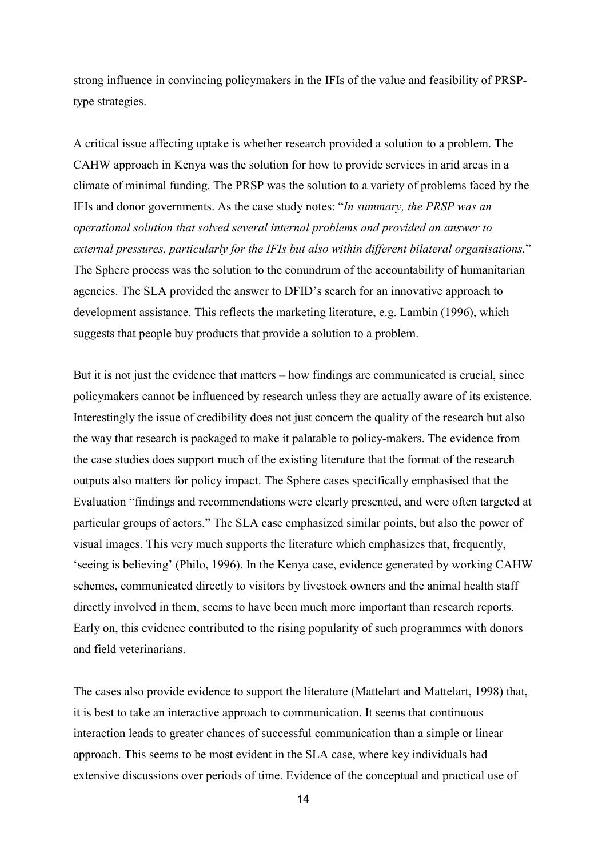strong influence in convincing policymakers in the IFIs of the value and feasibility of PRSPtype strategies.

A critical issue affecting uptake is whether research provided a solution to a problem. The CAHW approach in Kenya was the solution for how to provide services in arid areas in a climate of minimal funding. The PRSP was the solution to a variety of problems faced by the IFIs and donor governments. As the case study notes: "In summary, the PRSP was an *operational solution that solved several internal problems and provided an answer to external pressures, particularly for the IFIs but also within different bilateral organisations.*î The Sphere process was the solution to the conundrum of the accountability of humanitarian agencies. The SLA provided the answer to DFID's search for an innovative approach to development assistance. This reflects the marketing literature, e.g. Lambin (1996), which suggests that people buy products that provide a solution to a problem.

But it is not just the evidence that matters  $-$  how findings are communicated is crucial, since policymakers cannot be influenced by research unless they are actually aware of its existence. Interestingly the issue of credibility does not just concern the quality of the research but also the way that research is packaged to make it palatable to policy-makers. The evidence from the case studies does support much of the existing literature that the format of the research outputs also matters for policy impact. The Sphere cases specifically emphasised that the Evaluation "findings and recommendations were clearly presented, and were often targeted at particular groups of actors." The SLA case emphasized similar points, but also the power of visual images. This very much supports the literature which emphasizes that, frequently, 'seeing is believing' (Philo, 1996). In the Kenya case, evidence generated by working CAHW schemes, communicated directly to visitors by livestock owners and the animal health staff directly involved in them, seems to have been much more important than research reports. Early on, this evidence contributed to the rising popularity of such programmes with donors and field veterinarians.

The cases also provide evidence to support the literature (Mattelart and Mattelart, 1998) that, it is best to take an interactive approach to communication. It seems that continuous interaction leads to greater chances of successful communication than a simple or linear approach. This seems to be most evident in the SLA case, where key individuals had extensive discussions over periods of time. Evidence of the conceptual and practical use of

 $\sim$  14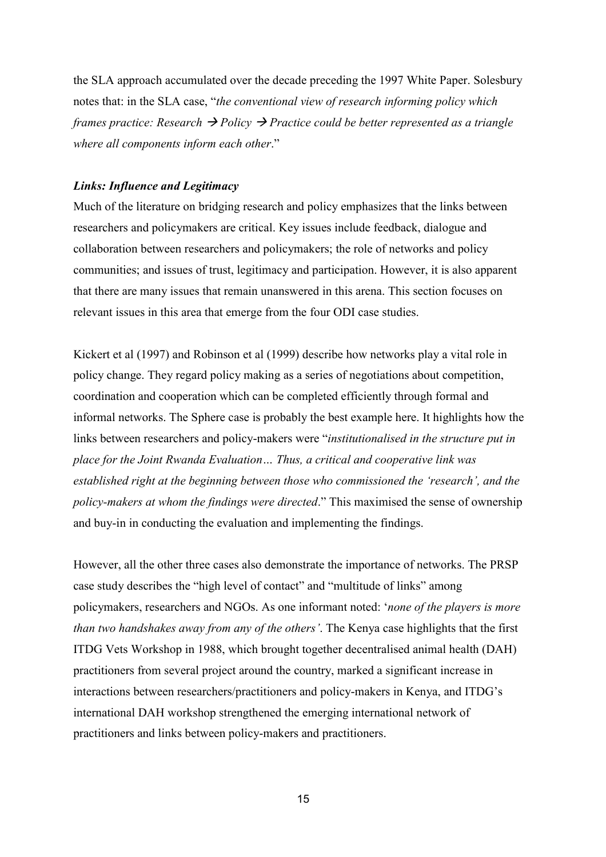the SLA approach accumulated over the decade preceding the 1997 White Paper. Solesbury notes that: in the SLA case, "*the conventional view of research informing policy which frames practice: Research*  $\rightarrow$  *Policy*  $\rightarrow$  *Practice could be better represented as a triangle where all components inform each other.*"

#### *Links: Influence and Legitimacy*

Much of the literature on bridging research and policy emphasizes that the links between researchers and policymakers are critical. Key issues include feedback, dialogue and collaboration between researchers and policymakers; the role of networks and policy communities; and issues of trust, legitimacy and participation. However, it is also apparent that there are many issues that remain unanswered in this arena. This section focuses on relevant issues in this area that emerge from the four ODI case studies.

Kickert et al (1997) and Robinson et al (1999) describe how networks play a vital role in policy change. They regard policy making as a series of negotiations about competition, coordination and cooperation which can be completed efficiently through formal and informal networks. The Sphere case is probably the best example here. It highlights how the links between researchers and policy-makers were "*institutionalised in the structure put in place for the Joint Rwanda Evaluation... Thus, a critical and cooperative link was established right at the beginning between those who commissioned the 'research', and the policy-makers at whom the findings were directed.*" This maximised the sense of ownership and buy-in in conducting the evaluation and implementing the findings.

However, all the other three cases also demonstrate the importance of networks. The PRSP case study describes the "high level of contact" and "multitude of links" among policymakers, researchers and NGOs. As one informant noted: ë*none of the players is more than two handshakes away from any of the others'*. The Kenya case highlights that the first ITDG Vets Workshop in 1988, which brought together decentralised animal health (DAH) practitioners from several project around the country, marked a significant increase in interactions between researchers/practitioners and policy-makers in Kenya, and ITDG's international DAH workshop strengthened the emerging international network of practitioners and links between policy-makers and practitioners.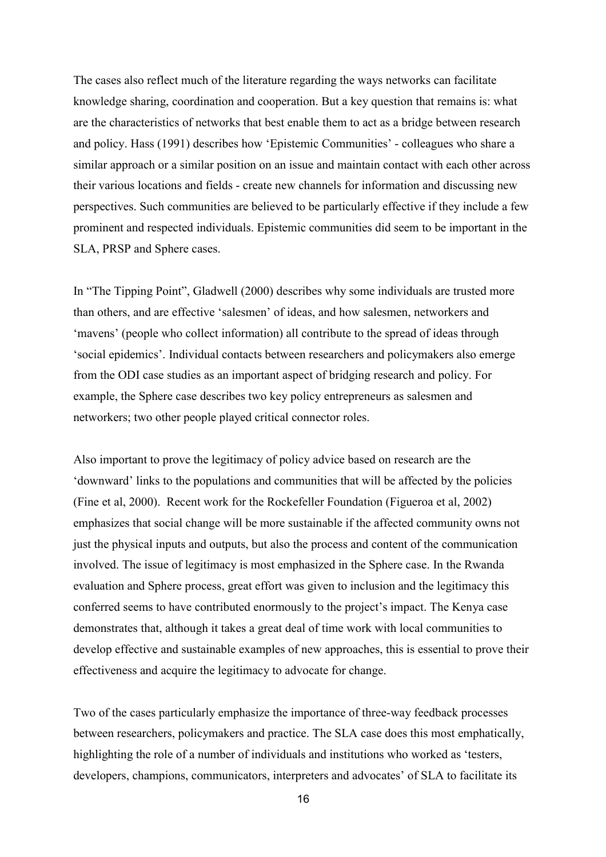The cases also reflect much of the literature regarding the ways networks can facilitate knowledge sharing, coordination and cooperation. But a key question that remains is: what are the characteristics of networks that best enable them to act as a bridge between research and policy. Hass (1991) describes how 'Epistemic Communities' - colleagues who share a similar approach or a similar position on an issue and maintain contact with each other across their various locations and fields - create new channels for information and discussing new perspectives. Such communities are believed to be particularly effective if they include a few prominent and respected individuals. Epistemic communities did seem to be important in the SLA, PRSP and Sphere cases.

In "The Tipping Point", Gladwell (2000) describes why some individuals are trusted more than others, and are effective 'salesmen' of ideas, and how salesmen, networkers and 'mavens' (people who collect information) all contribute to the spread of ideas through 'social epidemics'. Individual contacts between researchers and policymakers also emerge from the ODI case studies as an important aspect of bridging research and policy. For example, the Sphere case describes two key policy entrepreneurs as salesmen and networkers; two other people played critical connector roles.

Also important to prove the legitimacy of policy advice based on research are the  $d$  downward links to the populations and communities that will be affected by the policies (Fine et al, 2000). Recent work for the Rockefeller Foundation (Figueroa et al, 2002) emphasizes that social change will be more sustainable if the affected community owns not just the physical inputs and outputs, but also the process and content of the communication involved. The issue of legitimacy is most emphasized in the Sphere case. In the Rwanda evaluation and Sphere process, great effort was given to inclusion and the legitimacy this conferred seems to have contributed enormously to the project's impact. The Kenya case demonstrates that, although it takes a great deal of time work with local communities to develop effective and sustainable examples of new approaches, this is essential to prove their effectiveness and acquire the legitimacy to advocate for change.

Two of the cases particularly emphasize the importance of three-way feedback processes between researchers, policymakers and practice. The SLA case does this most emphatically, highlighting the role of a number of individuals and institutions who worked as 'testers, developers, champions, communicators, interpreters and advocates' of SLA to facilitate its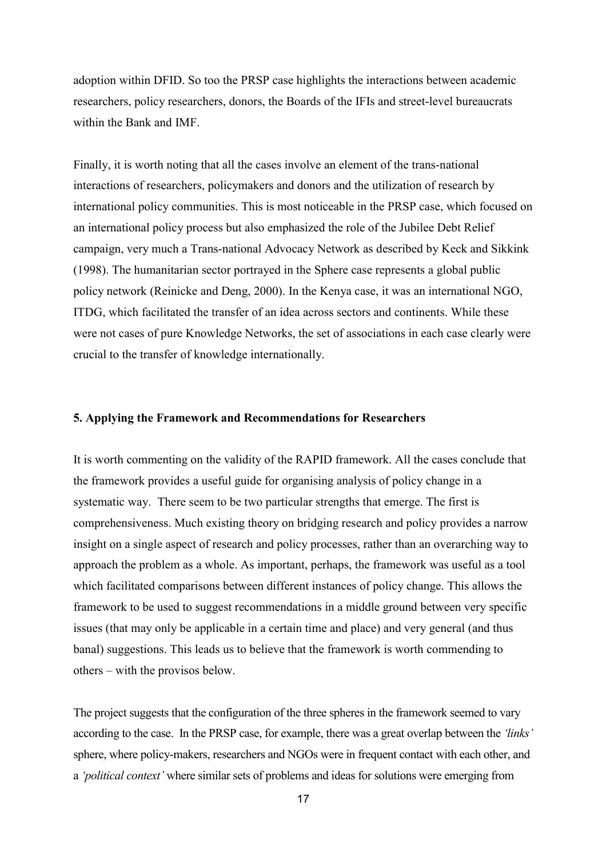adoption within DFID. So too the PRSP case highlights the interactions between academic researchers, policy researchers, donors, the Boards of the IFIs and street-level bureaucrats within the Bank and IMF.

Finally, it is worth noting that all the cases involve an element of the trans-national interactions of researchers, policymakers and donors and the utilization of research by international policy communities. This is most noticeable in the PRSP case, which focused on an international policy process but also emphasized the role of the Jubilee Debt Relief campaign, very much a Trans-national Advocacy Network as described by Keck and Sikkink (1998). The humanitarian sector portrayed in the Sphere case represents a global public policy network (Reinicke and Deng, 2000). In the Kenya case, it was an international NGO, ITDG, which facilitated the transfer of an idea across sectors and continents. While these were not cases of pure Knowledge Networks, the set of associations in each case clearly were crucial to the transfer of knowledge internationally.

## **5. Applying the Framework and Recommendations for Researchers**

It is worth commenting on the validity of the RAPID framework. All the cases conclude that the framework provides a useful guide for organising analysis of policy change in a systematic way. There seem to be two particular strengths that emerge. The first is comprehensiveness. Much existing theory on bridging research and policy provides a narrow insight on a single aspect of research and policy processes, rather than an overarching way to approach the problem as a whole. As important, perhaps, the framework was useful as a tool which facilitated comparisons between different instances of policy change. This allows the framework to be used to suggest recommendations in a middle ground between very specific issues (that may only be applicable in a certain time and place) and very general (and thus banal) suggestions. This leads us to believe that the framework is worth commending to  $others - with the provisos below.$ 

The project suggests that the configuration of the three spheres in the framework seemed to vary according to the case. In the PRSP case, for example, there was a great overlap between the *'links'* sphere, where policy-makers, researchers and NGOs were in frequent contact with each other, and a *'political context'* where similar sets of problems and ideas for solutions were emerging from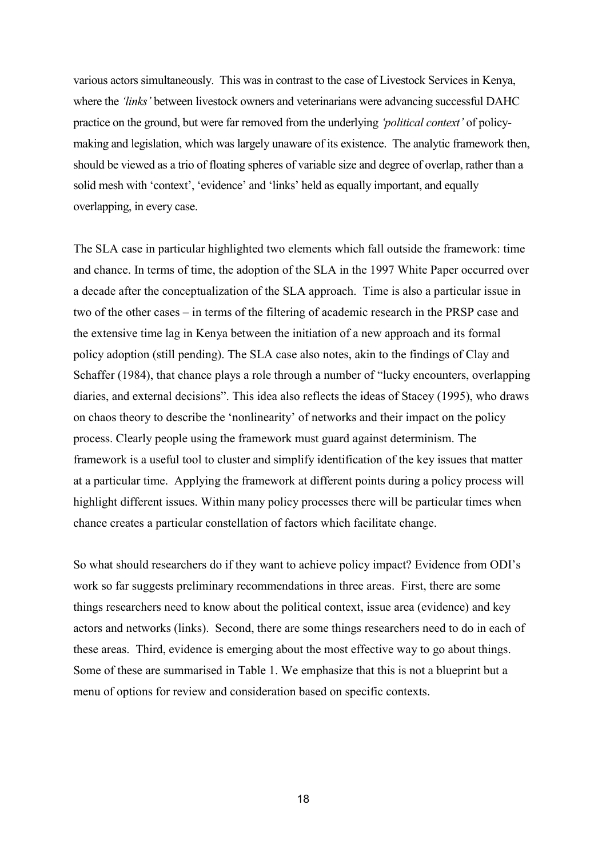various actors simultaneously. This was in contrast to the case of Livestock Services in Kenya, where the *'links'* between livestock owners and veterinarians were advancing successful DAHC practice on the ground, but were far removed from the underlying *'political context'* of policymaking and legislation, which was largely unaware of its existence. The analytic framework then, should be viewed as a trio of floating spheres of variable size and degree of overlap, rather than a solid mesh with 'context', 'evidence' and 'links' held as equally important, and equally overlapping, in every case.

The SLA case in particular highlighted two elements which fall outside the framework: time and chance. In terms of time, the adoption of the SLA in the 1997 White Paper occurred over a decade after the conceptualization of the SLA approach. Time is also a particular issue in two of the other cases – in terms of the filtering of academic research in the PRSP case and the extensive time lag in Kenya between the initiation of a new approach and its formal policy adoption (still pending). The SLA case also notes, akin to the findings of Clay and Schaffer (1984), that chance plays a role through a number of "lucky encounters, overlapping diaries, and external decisions". This idea also reflects the ideas of Stacey (1995), who draws on chaos theory to describe the 'nonlinearity' of networks and their impact on the policy process. Clearly people using the framework must guard against determinism. The framework is a useful tool to cluster and simplify identification of the key issues that matter at a particular time. Applying the framework at different points during a policy process will highlight different issues. Within many policy processes there will be particular times when chance creates a particular constellation of factors which facilitate change.

So what should researchers do if they want to achieve policy impact? Evidence from ODI's work so far suggests preliminary recommendations in three areas. First, there are some things researchers need to know about the political context, issue area (evidence) and key actors and networks (links). Second, there are some things researchers need to do in each of these areas. Third, evidence is emerging about the most effective way to go about things. Some of these are summarised in Table 1. We emphasize that this is not a blueprint but a menu of options for review and consideration based on specific contexts.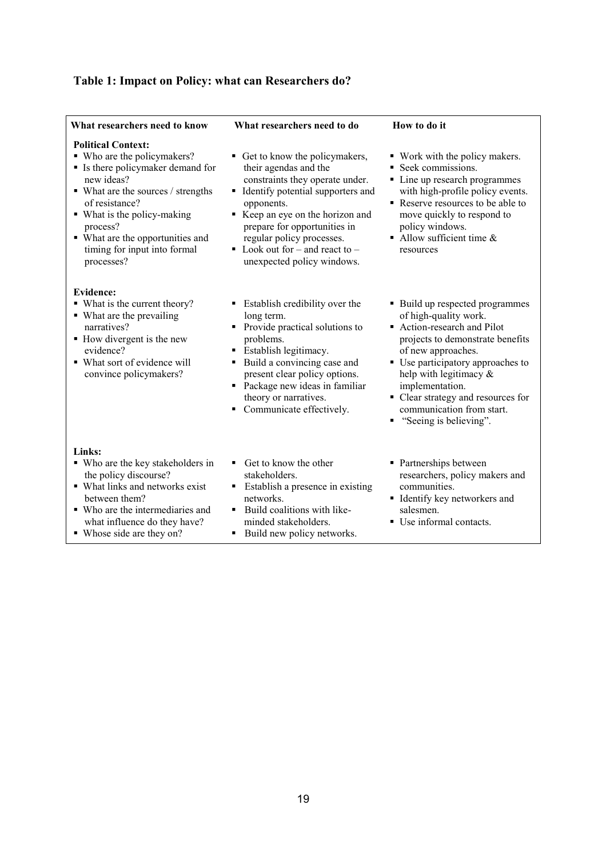# **Table 1: Impact on Policy: what can Researchers do?**

| What researchers need to know                                                                                                                                                                                                                                                                    | What researchers need to do                                                                                                                                                                                                                                                                                                   | How to do it                                                                                                                                                                                                                                                                                                                      |
|--------------------------------------------------------------------------------------------------------------------------------------------------------------------------------------------------------------------------------------------------------------------------------------------------|-------------------------------------------------------------------------------------------------------------------------------------------------------------------------------------------------------------------------------------------------------------------------------------------------------------------------------|-----------------------------------------------------------------------------------------------------------------------------------------------------------------------------------------------------------------------------------------------------------------------------------------------------------------------------------|
| <b>Political Context:</b><br>• Who are the policymakers?<br>• Is there policymaker demand for<br>new ideas?<br>• What are the sources / strengths<br>of resistance?<br>• What is the policy-making<br>process?<br>• What are the opportunities and<br>timing for input into formal<br>processes? | • Get to know the policymakers,<br>their agendas and the<br>constraints they operate under.<br>• Identify potential supporters and<br>opponents.<br>Keep an eye on the horizon and<br>prepare for opportunities in<br>regular policy processes.<br>$\blacksquare$ Look out for – and react to –<br>unexpected policy windows. | ■ Work with the policy makers.<br>• Seek commissions.<br>• Line up research programmes<br>with high-profile policy events.<br>• Reserve resources to be able to<br>move quickly to respond to<br>policy windows.<br>• Allow sufficient time $&$<br>resources                                                                      |
| <b>Evidence:</b><br>• What is the current theory?<br>• What are the prevailing<br>narratives?<br>• How divergent is the new<br>evidence?<br>• What sort of evidence will<br>convince policymakers?                                                                                               | • Establish credibility over the<br>long term.<br>• Provide practical solutions to<br>problems.<br>• Establish legitimacy.<br>Build a convincing case and<br>٠<br>present clear policy options.<br>• Package new ideas in familiar<br>theory or narratives.<br>Communicate effectively.                                       | • Build up respected programmes<br>of high-quality work.<br>Action-research and Pilot<br>projects to demonstrate benefits<br>of new approaches.<br>• Use participatory approaches to<br>help with legitimacy $\&$<br>implementation.<br>• Clear strategy and resources for<br>communication from start.<br>"Seeing is believing". |
| Links:<br>• Who are the key stakeholders in<br>the policy discourse?<br>• What links and networks exist<br>between them?<br>• Who are the intermediaries and<br>what influence do they have?<br>• Whose side are they on?                                                                        | • Get to know the other<br>stakeholders.<br>• Establish a presence in existing<br>networks.<br>• Build coalitions with like-<br>minded stakeholders.<br>Build new policy networks.                                                                                                                                            | • Partnerships between<br>researchers, policy makers and<br>communities.<br>• Identify key networkers and<br>salesmen.<br>• Use informal contacts.                                                                                                                                                                                |

**Whose side are they on?** 

the contract of the contract of the contract of the contract of the contract of the contract of the contract o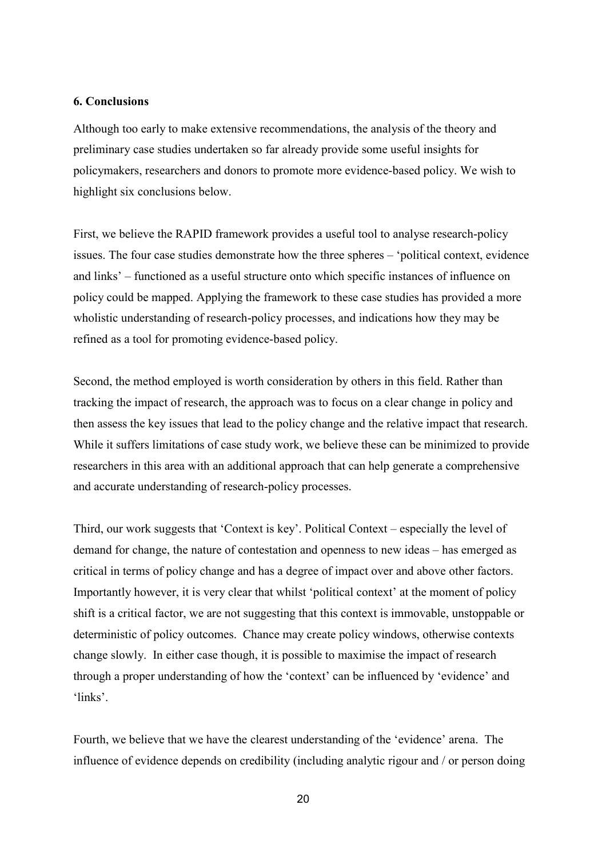#### **6. Conclusions**

Although too early to make extensive recommendations, the analysis of the theory and preliminary case studies undertaken so far already provide some useful insights for policymakers, researchers and donors to promote more evidence-based policy. We wish to highlight six conclusions below.

First, we believe the RAPID framework provides a useful tool to analyse research-policy issues. The four case studies demonstrate how the three spheres – 'political context, evidence and links' – functioned as a useful structure onto which specific instances of influence on policy could be mapped. Applying the framework to these case studies has provided a more wholistic understanding of research-policy processes, and indications how they may be refined as a tool for promoting evidence-based policy.

Second, the method employed is worth consideration by others in this field. Rather than tracking the impact of research, the approach was to focus on a clear change in policy and then assess the key issues that lead to the policy change and the relative impact that research. While it suffers limitations of case study work, we believe these can be minimized to provide researchers in this area with an additional approach that can help generate a comprehensive and accurate understanding of research-policy processes.

Third, our work suggests that 'Context is key'. Political Context – especially the level of demand for change, the nature of contestation and openness to new ideas – has emerged as critical in terms of policy change and has a degree of impact over and above other factors. Importantly however, it is very clear that whilst 'political context' at the moment of policy shift is a critical factor, we are not suggesting that this context is immovable, unstoppable or deterministic of policy outcomes. Chance may create policy windows, otherwise contexts change slowly. In either case though, it is possible to maximise the impact of research through a proper understanding of how the 'context' can be influenced by 'evidence' and  $'$ links'

Fourth, we believe that we have the clearest understanding of the 'evidence' arena. The influence of evidence depends on credibility (including analytic rigour and / or person doing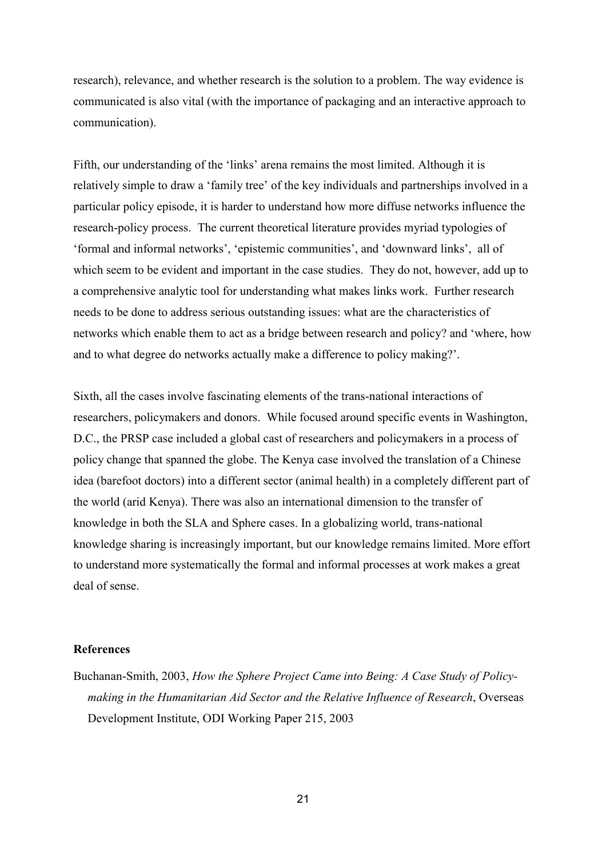research), relevance, and whether research is the solution to a problem. The way evidence is communicated is also vital (with the importance of packaging and an interactive approach to communication).

Fifth, our understanding of the 'links' arena remains the most limited. Although it is relatively simple to draw a 'family tree' of the key individuals and partnerships involved in a particular policy episode, it is harder to understand how more diffuse networks influence the research-policy process. The current theoretical literature provides myriad typologies of 'formal and informal networks', 'epistemic communities', and 'downward links', all of which seem to be evident and important in the case studies. They do not, however, add up to a comprehensive analytic tool for understanding what makes links work. Further research needs to be done to address serious outstanding issues: what are the characteristics of networks which enable them to act as a bridge between research and policy? and 'where, how and to what degree do networks actually make a difference to policy making?'.

Sixth, all the cases involve fascinating elements of the trans-national interactions of researchers, policymakers and donors. While focused around specific events in Washington, D.C., the PRSP case included a global cast of researchers and policymakers in a process of policy change that spanned the globe. The Kenya case involved the translation of a Chinese idea (barefoot doctors) into a different sector (animal health) in a completely different part of the world (arid Kenya). There was also an international dimension to the transfer of knowledge in both the SLA and Sphere cases. In a globalizing world, trans-national knowledge sharing is increasingly important, but our knowledge remains limited. More effort to understand more systematically the formal and informal processes at work makes a great deal of sense.

#### **References**

Buchanan-Smith, 2003, *How the Sphere Project Came into Being: A Case Study of Policymaking in the Humanitarian Aid Sector and the Relative Influence of Research*, Overseas Development Institute, ODI Working Paper 215, 2003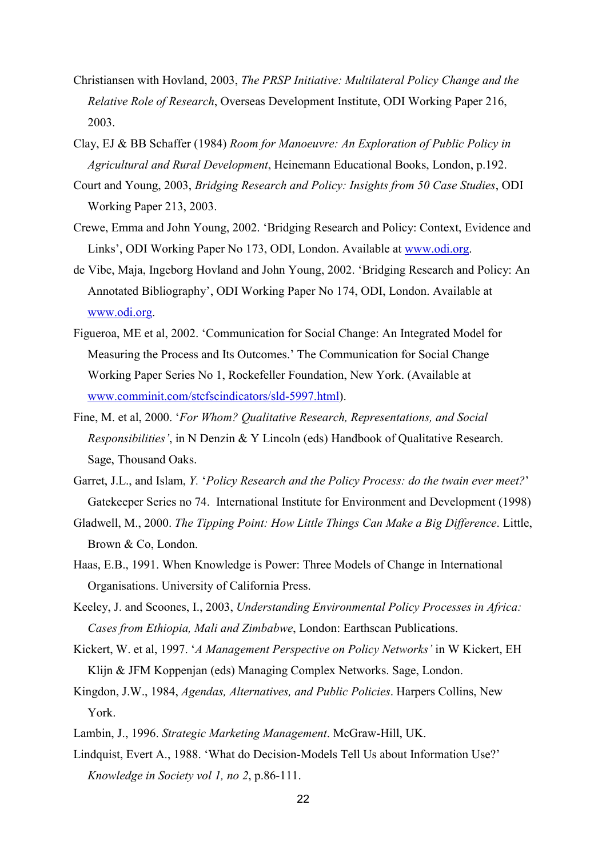- Christiansen with Hovland, 2003, *The PRSP Initiative: Multilateral Policy Change and the Relative Role of Research*, Overseas Development Institute, ODI Working Paper 216, 2003.
- Clay, EJ & BB Schaffer (1984) *Room for Manoeuvre: An Exploration of Public Policy in Agricultural and Rural Development*, Heinemann Educational Books, London, p.192.
- Court and Young, 2003, *Bridging Research and Policy: Insights from 50 Case Studies*, ODI Working Paper 213, 2003.
- Crewe, Emma and John Young, 2002. ëBridging Research and Policy: Context, Evidence and Links', ODI Working Paper No 173, ODI, London. Available at www.odi.org.
- de Vibe, Maja, Ingeborg Hovland and John Young, 2002. ëBridging Research and Policy: An Annotated Bibliography', ODI Working Paper No 174, ODI, London. Available at www.odi.org.
- Figueroa, ME et al, 2002. 'Communication for Social Change: An Integrated Model for Measuring the Process and Its Outcomes.' The Communication for Social Change Working Paper Series No 1, Rockefeller Foundation, New York. (Available at www.comminit.com/stcfscindicators/sld-5997.html).
- Fine, M. et al, 2000. ë*For Whom? Qualitative Research, Representations, and Social Responsibilities'*, in N Denzin & Y Lincoln (eds) Handbook of Qualitative Research. Sage, Thousand Oaks.
- Garret, J.L., and Islam, *Y. 'Policy Research and the Policy Process: do the twain ever meet?'* Gatekeeper Series no 74. International Institute for Environment and Development (1998)
- Gladwell, M., 2000. *The Tipping Point: How Little Things Can Make a Big Difference*. Little, Brown & Co, London.
- Haas, E.B., 1991. When Knowledge is Power: Three Models of Change in International Organisations. University of California Press.
- Keeley, J. and Scoones, I., 2003, *Understanding Environmental Policy Processes in Africa: Cases from Ethiopia, Mali and Zimbabwe*, London: Earthscan Publications.
- Kickert, W. et al, 1997. 'A Management Perspective on Policy Networks' in W Kickert, EH Klijn & JFM Koppenjan (eds) Managing Complex Networks. Sage, London.
- Kingdon, J.W., 1984, *Agendas, Alternatives, and Public Policies*. Harpers Collins, New York.
- Lambin, J., 1996. *Strategic Marketing Management*. McGraw-Hill, UK.
- Lindquist, Evert A., 1988. 'What do Decision-Models Tell Us about Information Use?' *Knowledge in Society vol 1, no 2*, p.86-111.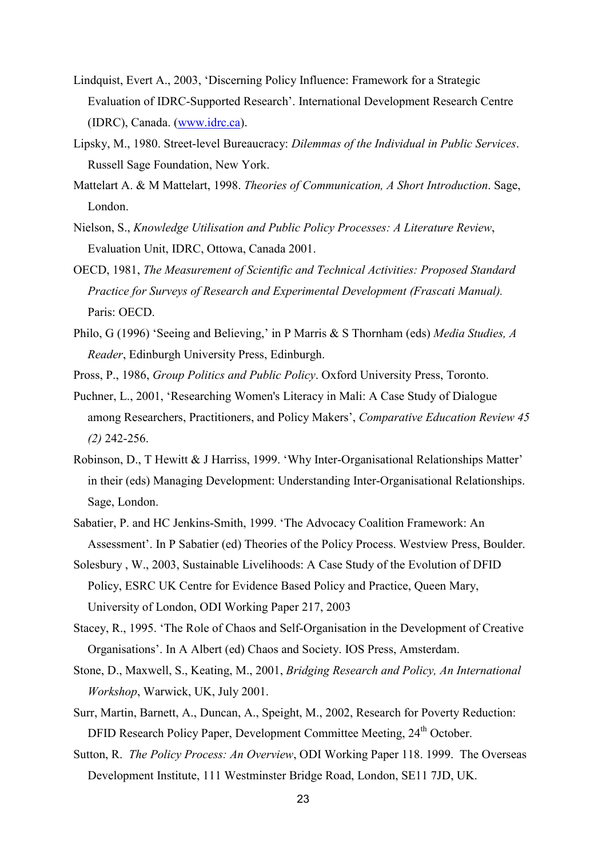- Lindquist, Evert A., 2003, ëDiscerning Policy Influence: Framework for a Strategic Evaluation of IDRC-Supported Research<sup>7</sup>. International Development Research Centre (IDRC), Canada. (www.idrc.ca).
- Lipsky, M., 1980. Street-level Bureaucracy: *Dilemmas of the Individual in Public Services*. Russell Sage Foundation, New York.
- Mattelart A. & M Mattelart, 1998. *Theories of Communication, A Short Introduction*. Sage, London.
- Nielson, S., *Knowledge Utilisation and Public Policy Processes: A Literature Review*, Evaluation Unit, IDRC, Ottowa, Canada 2001.
- OECD, 1981, *The Measurement of Scientific and Technical Activities: Proposed Standard Practice for Surveys of Research and Experimental Development (Frascati Manual).*  Paris: OECD.
- Philo, G (1996) 'Seeing and Believing,' in P Marris & S Thornham (eds) *Media Studies, A Reader*, Edinburgh University Press, Edinburgh.
- Pross, P., 1986, *Group Politics and Public Policy*. Oxford University Press, Toronto.
- Puchner, L., 2001, 'Researching Women's Literacy in Mali: A Case Study of Dialogue among Researchers, Practitioners, and Policy Makers', *Comparative Education Review 45 (2)* 242-256.
- Robinson, D., T Hewitt & J Harriss, 1999. 'Why Inter-Organisational Relationships Matter' in their (eds) Managing Development: Understanding Inter-Organisational Relationships. Sage, London.
- Sabatier, P. and HC Jenkins-Smith, 1999. 'The Advocacy Coalition Framework: An Assessment'. In P Sabatier (ed) Theories of the Policy Process. Westview Press, Boulder.
- Solesbury , W., 2003, Sustainable Livelihoods: A Case Study of the Evolution of DFID Policy, ESRC UK Centre for Evidence Based Policy and Practice, Queen Mary, University of London, ODI Working Paper 217, 2003
- Stacey, R., 1995. 'The Role of Chaos and Self-Organisation in the Development of Creative Organisations'. In A Albert (ed) Chaos and Society. IOS Press, Amsterdam.
- Stone, D., Maxwell, S., Keating, M., 2001, *Bridging Research and Policy, An International Workshop*, Warwick, UK, July 2001.
- Surr, Martin, Barnett, A., Duncan, A., Speight, M., 2002, Research for Poverty Reduction: DFID Research Policy Paper, Development Committee Meeting, 24<sup>th</sup> October.
- Sutton, R. *The Policy Process: An Overview*, ODI Working Paper 118. 1999. The Overseas Development Institute, 111 Westminster Bridge Road, London, SE11 7JD, UK.